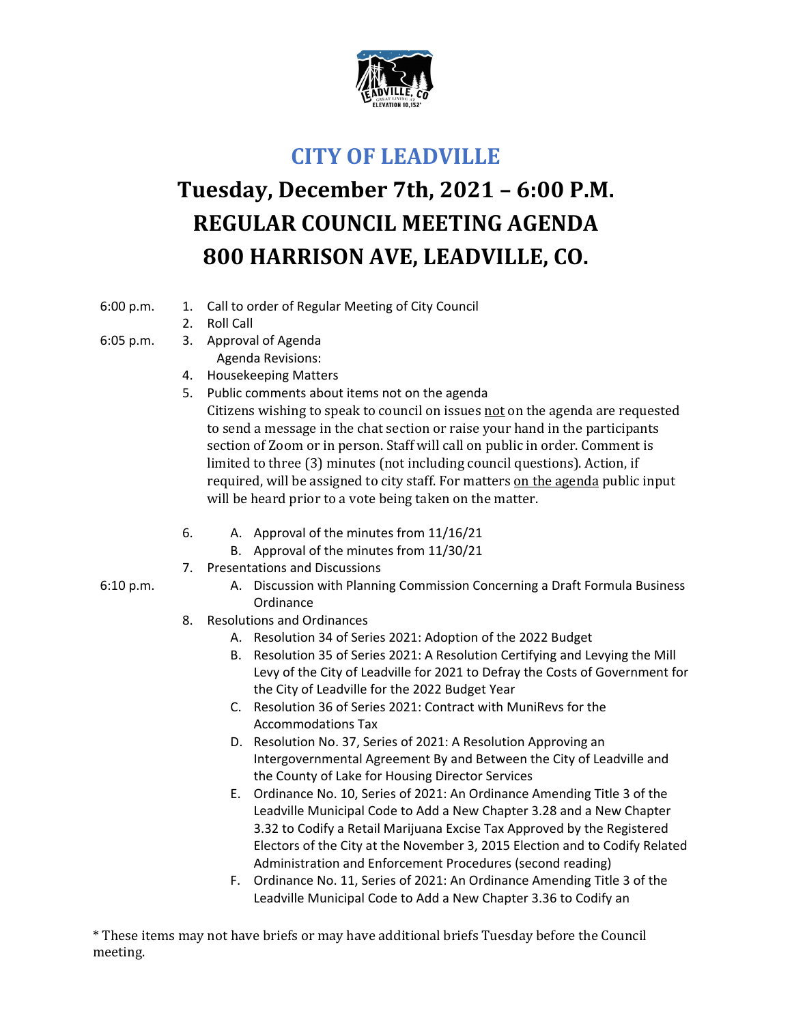

## **CITY OF LEADVILLE**

## **Tuesday, December 7th, 2021 – 6:00 P.M. REGULAR COUNCIL MEETING AGENDA 800 HARRISON AVE, LEADVILLE, CO.**

- 6:00 p.m. 1. Call to order of Regular Meeting of City Council
	- 2. Roll Call
- 6:05 p.m. 3. Approval of Agenda
	- Agenda Revisions:
	- 4. Housekeeping Matters
	- 5. Public comments about items not on the agenda Citizens wishing to speak to council on issues not on the agenda are requested to send a message in the chat section or raise your hand in the participants section of Zoom or in person. Staff will call on public in order. Comment is limited to three (3) minutes (not including council questions). Action, if required, will be assigned to city staff. For matters on the agenda public input will be heard prior to a vote being taken on the matter.
	- 6. A. Approval of the minutes from 11/16/21
		- B. Approval of the minutes from 11/30/21
	- 7. Presentations and Discussions
- 6:10 p.m. A. Discussion with Planning Commission Concerning a Draft Formula Business Ordinance
	- 8. Resolutions and Ordinances
		- A. Resolution 34 of Series 2021: Adoption of the 2022 Budget
		- B. Resolution 35 of Series 2021: A Resolution Certifying and Levying the Mill Levy of the City of Leadville for 2021 to Defray the Costs of Government for the City of Leadville for the 2022 Budget Year
		- C. Resolution 36 of Series 2021: Contract with MuniRevs for the Accommodations Tax
		- D. Resolution No. 37, Series of 2021: A Resolution Approving an Intergovernmental Agreement By and Between the City of Leadville and the County of Lake for Housing Director Services
		- E. Ordinance No. 10, Series of 2021: An Ordinance Amending Title 3 of the Leadville Municipal Code to Add a New Chapter 3.28 and a New Chapter 3.32 to Codify a Retail Marijuana Excise Tax Approved by the Registered Electors of the City at the November 3, 2015 Election and to Codify Related Administration and Enforcement Procedures (second reading)
		- F. Ordinance No. 11, Series of 2021: An Ordinance Amending Title 3 of the Leadville Municipal Code to Add a New Chapter 3.36 to Codify an

\* These items may not have briefs or may have additional briefs Tuesday before the Council meeting.